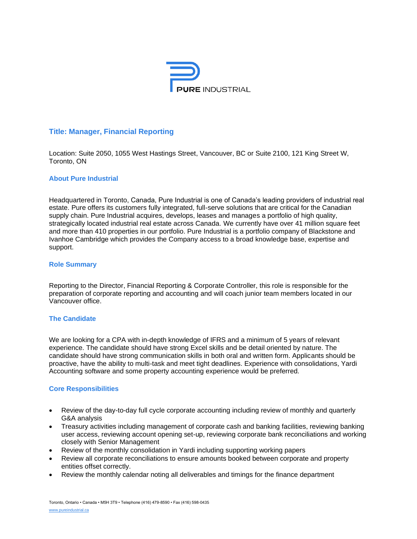

# **Title: Manager, Financial Reporting**

Location: Suite 2050, 1055 West Hastings Street, Vancouver, BC or Suite 2100, 121 King Street W, Toronto, ON

### **About Pure Industrial**

Headquartered in Toronto, Canada, Pure Industrial is one of Canada's leading providers of industrial real estate. Pure offers its customers fully integrated, full-serve solutions that are critical for the Canadian supply chain. Pure Industrial acquires, develops, leases and manages a portfolio of high quality, strategically located industrial real estate across Canada. We currently have over 41 million square feet and more than 410 properties in our portfolio. Pure Industrial is a portfolio company of Blackstone and Ivanhoe Cambridge which provides the Company access to a broad knowledge base, expertise and support.

#### **Role Summary**

Reporting to the Director, Financial Reporting & Corporate Controller, this role is responsible for the preparation of corporate reporting and accounting and will coach junior team members located in our Vancouver office.

### **The Candidate**

We are looking for a CPA with in-depth knowledge of IFRS and a minimum of 5 years of relevant experience. The candidate should have strong Excel skills and be detail oriented by nature. The candidate should have strong communication skills in both oral and written form. Applicants should be proactive, have the ability to multi-task and meet tight deadlines. Experience with consolidations, Yardi Accounting software and some property accounting experience would be preferred.

#### **Core Responsibilities**

- Review of the day-to-day full cycle corporate accounting including review of monthly and quarterly G&A analysis
- Treasury activities including management of corporate cash and banking facilities, reviewing banking user access, reviewing account opening set-up, reviewing corporate bank reconciliations and working closely with Senior Management
- Review of the monthly consolidation in Yardi including supporting working papers
- Review all corporate reconciliations to ensure amounts booked between corporate and property entities offset correctly.
- Review the monthly calendar noting all deliverables and timings for the finance department